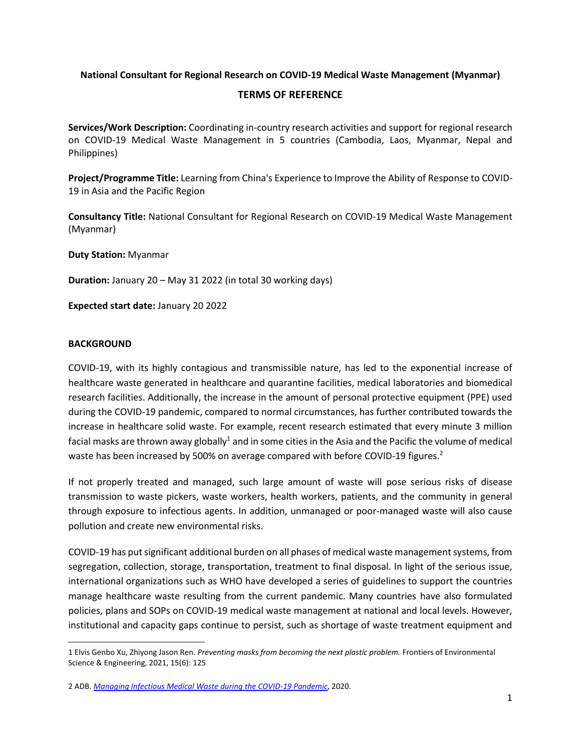## **National Consultant for Regional Research on COVID-19 Medical Waste Management (Myanmar)**

#### **TERMS OF REFERENCE**

**Services/Work Description:** Coordinating in-country research activities and support for regional research on COVID-19 Medical Waste Management in 5 countries (Cambodia, Laos, Myanmar, Nepal and Philippines)

**Project/Programme Title:** Learning from China's Experience to Improve the Ability of Response to COVID-19 in Asia and the Pacific Region

**Consultancy Title:** National Consultant for Regional Research on COVID-19 Medical Waste Management (Myanmar)

**Duty Station:** Myanmar

**Duration:** January 20 – May 31 2022 (in total 30 working days)

**Expected start date:** January 20 2022

#### **BACKGROUND**

COVID-19, with its highly contagious and transmissible nature, has led to the exponential increase of healthcare waste generated in healthcare and quarantine facilities, medical laboratories and biomedical research facilities. Additionally, the increase in the amount of personal protective equipment (PPE) used during the COVID-19 pandemic, compared to normal circumstances, has further contributed towards the increase in healthcare solid waste. For example, recent research estimated that every minute 3 million facial masks are thrown away globally<sup>1</sup> and in some cities in the Asia and the Pacific the volume of medical waste has been increased by 500% on average compared with before COVID-19 figures.<sup>2</sup>

If not properly treated and managed, such large amount of waste will pose serious risks of disease transmission to waste pickers, waste workers, health workers, patients, and the community in general through exposure to infectious agents. In addition, unmanaged or poor-managed waste will also cause pollution and create new environmental risks.

COVID-19 has put significant additional burden on all phases of medical waste management systems, from segregation, collection, storage, transportation, treatment to final disposal. In light of the serious issue, international organizations such as WHO have developed a series of guidelines to support the countries manage healthcare waste resulting from the current pandemic. Many countries have also formulated policies, plans and SOPs on COVID-19 medical waste management at national and local levels. However, institutional and capacity gaps continue to persist, such as shortage of waste treatment equipment and

<sup>1</sup> Elvis Genbo Xu, Zhiyong Jason Ren. *Preventing masks from becoming the next plastic problem.* Frontiers of Environmental Science & Engineering, 2021, 15(6): 125

<sup>2</sup> ADB. *[Managing Infectious Medical Waste during the COVID-19 Pandemic](https://www.adb.org/sites/default/files/publication/578771/managing-medical-waste-covid19.pdf)*, 2020.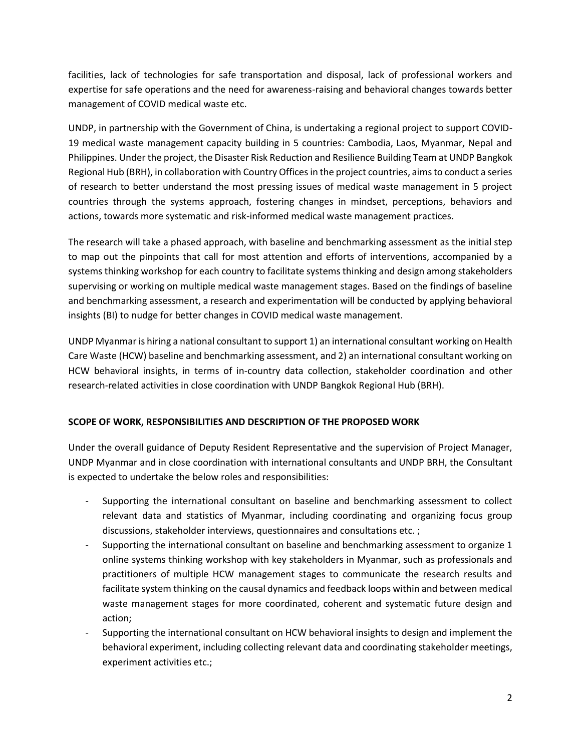facilities, lack of technologies for safe transportation and disposal, lack of professional workers and expertise for safe operations and the need for awareness-raising and behavioral changes towards better management of COVID medical waste etc.

UNDP, in partnership with the Government of China, is undertaking a regional project to support COVID-19 medical waste management capacity building in 5 countries: Cambodia, Laos, Myanmar, Nepal and Philippines. Under the project, the Disaster Risk Reduction and Resilience Building Team at UNDP Bangkok Regional Hub (BRH), in collaboration with Country Offices in the project countries, aims to conduct a series of research to better understand the most pressing issues of medical waste management in 5 project countries through the systems approach, fostering changes in mindset, perceptions, behaviors and actions, towards more systematic and risk-informed medical waste management practices.

The research will take a phased approach, with baseline and benchmarking assessment as the initial step to map out the pinpoints that call for most attention and efforts of interventions, accompanied by a systems thinking workshop for each country to facilitate systems thinking and design among stakeholders supervising or working on multiple medical waste management stages. Based on the findings of baseline and benchmarking assessment, a research and experimentation will be conducted by applying behavioral insights (BI) to nudge for better changes in COVID medical waste management.

UNDP Myanmar is hiring a national consultant to support 1) an international consultant working on Health Care Waste (HCW) baseline and benchmarking assessment, and 2) an international consultant working on HCW behavioral insights, in terms of in-country data collection, stakeholder coordination and other research-related activities in close coordination with UNDP Bangkok Regional Hub (BRH).

# **SCOPE OF WORK, RESPONSIBILITIES AND DESCRIPTION OF THE PROPOSED WORK**

Under the overall guidance of Deputy Resident Representative and the supervision of Project Manager, UNDP Myanmar and in close coordination with international consultants and UNDP BRH, the Consultant is expected to undertake the below roles and responsibilities:

- Supporting the international consultant on baseline and benchmarking assessment to collect relevant data and statistics of Myanmar, including coordinating and organizing focus group discussions, stakeholder interviews, questionnaires and consultations etc. ;
- Supporting the international consultant on baseline and benchmarking assessment to organize 1 online systems thinking workshop with key stakeholders in Myanmar, such as professionals and practitioners of multiple HCW management stages to communicate the research results and facilitate system thinking on the causal dynamics and feedback loops within and between medical waste management stages for more coordinated, coherent and systematic future design and action;
- Supporting the international consultant on HCW behavioral insights to design and implement the behavioral experiment, including collecting relevant data and coordinating stakeholder meetings, experiment activities etc.;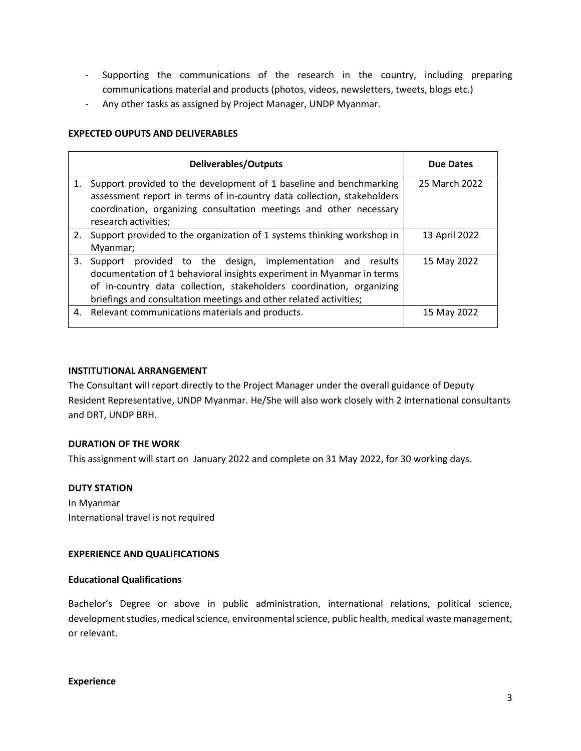- Supporting the communications of the research in the country, including preparing communications material and products (photos, videos, newsletters, tweets, blogs etc.)
- Any other tasks as assigned by Project Manager, UNDP Myanmar.

#### **EXPECTED OUPUTS AND DELIVERABLES**

|    | <b>Deliverables/Outputs</b>                                                                                                                                                                                                                                                            | <b>Due Dates</b> |
|----|----------------------------------------------------------------------------------------------------------------------------------------------------------------------------------------------------------------------------------------------------------------------------------------|------------------|
| 1. | Support provided to the development of 1 baseline and benchmarking<br>assessment report in terms of in-country data collection, stakeholders<br>coordination, organizing consultation meetings and other necessary<br>research activities;                                             | 25 March 2022    |
| 2. | Support provided to the organization of 1 systems thinking workshop in<br>Myanmar;                                                                                                                                                                                                     | 13 April 2022    |
| 3. | provided to the design, implementation and<br>Support<br>results<br>documentation of 1 behavioral insights experiment in Myanmar in terms<br>of in-country data collection, stakeholders coordination, organizing<br>briefings and consultation meetings and other related activities; | 15 May 2022      |
|    | 4. Relevant communications materials and products.                                                                                                                                                                                                                                     | 15 May 2022      |

#### **INSTITUTIONAL ARRANGEMENT**

The Consultant will report directly to the Project Manager under the overall guidance of Deputy Resident Representative, UNDP Myanmar. He/She will also work closely with 2 international consultants and DRT, UNDP BRH.

## **DURATION OF THE WORK**

This assignment will start on January 2022 and complete on 31 May 2022, for 30 working days.

## **DUTY STATION**

In Myanmar International travel is not required

#### **EXPERIENCE AND QUALIFICATIONS**

## **Educational Qualifications**

Bachelor's Degree or above in public administration, international relations, political science, development studies, medical science, environmental science, public health, medical waste management, or relevant.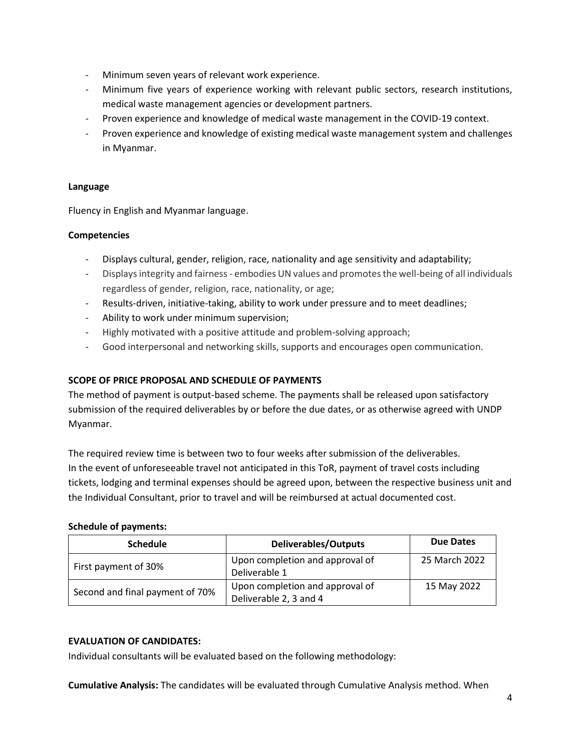- Minimum seven years of relevant work experience.
- Minimum five years of experience working with relevant public sectors, research institutions, medical waste management agencies or development partners.
- Proven experience and knowledge of medical waste management in the COVID-19 context.
- Proven experience and knowledge of existing medical waste management system and challenges in Myanmar.

## **Language**

Fluency in English and Myanmar language.

## **Competencies**

- Displays cultural, gender, religion, race, nationality and age sensitivity and adaptability;
- Displays integrity and fairness embodies UN values and promotes the well-being of all individuals regardless of gender, religion, race, nationality, or age;
- Results-driven, initiative-taking, ability to work under pressure and to meet deadlines;
- Ability to work under minimum supervision;
- Highly motivated with a positive attitude and problem-solving approach;
- Good interpersonal and networking skills, supports and encourages open communication.

## **SCOPE OF PRICE PROPOSAL AND SCHEDULE OF PAYMENTS**

The method of payment is output-based scheme. The payments shall be released upon satisfactory submission of the required deliverables by or before the due dates, or as otherwise agreed with UNDP Myanmar.

The required review time is between two to four weeks after submission of the deliverables. In the event of unforeseeable travel not anticipated in this ToR, payment of travel costs including tickets, lodging and terminal expenses should be agreed upon, between the respective business unit and the Individual Consultant, prior to travel and will be reimbursed at actual documented cost.

## **Schedule of payments:**

| <b>Schedule</b>                 | <b>Deliverables/Outputs</b>                               | <b>Due Dates</b> |
|---------------------------------|-----------------------------------------------------------|------------------|
| First payment of 30%            | Upon completion and approval of<br>Deliverable 1          | 25 March 2022    |
| Second and final payment of 70% | Upon completion and approval of<br>Deliverable 2, 3 and 4 | 15 May 2022      |

## **EVALUATION OF CANDIDATES:**

Individual consultants will be evaluated based on the following methodology:

**Cumulative Analysis:** The candidates will be evaluated through Cumulative Analysis method. When